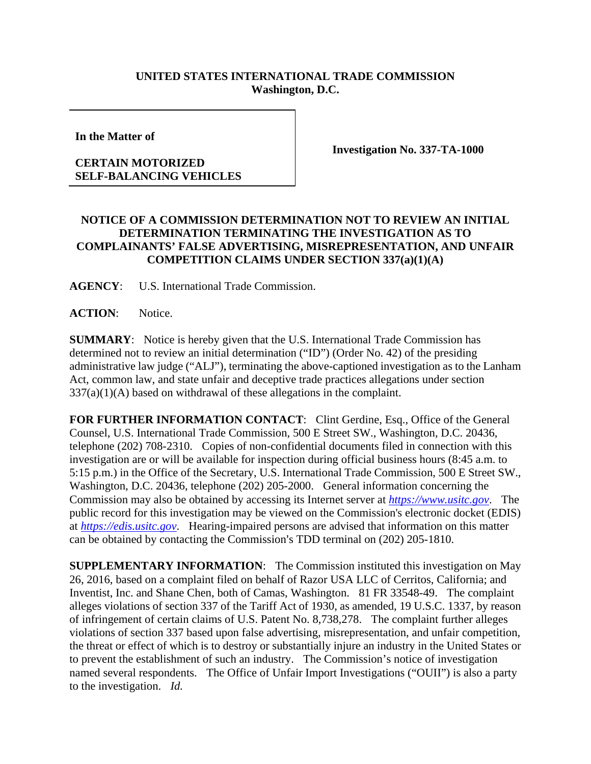## **UNITED STATES INTERNATIONAL TRADE COMMISSION Washington, D.C.**

**In the Matter of** 

## **CERTAIN MOTORIZED SELF-BALANCING VEHICLES**

**Investigation No. 337-TA-1000** 

## **NOTICE OF A COMMISSION DETERMINATION NOT TO REVIEW AN INITIAL DETERMINATION TERMINATING THE INVESTIGATION AS TO COMPLAINANTS' FALSE ADVERTISING, MISREPRESENTATION, AND UNFAIR COMPETITION CLAIMS UNDER SECTION 337(a)(1)(A)**

**AGENCY**: U.S. International Trade Commission.

**ACTION**: Notice.

**SUMMARY**: Notice is hereby given that the U.S. International Trade Commission has determined not to review an initial determination ("ID") (Order No. 42) of the presiding administrative law judge ("ALJ"), terminating the above-captioned investigation as to the Lanham Act, common law, and state unfair and deceptive trade practices allegations under section  $337(a)(1)(A)$  based on withdrawal of these allegations in the complaint.

**FOR FURTHER INFORMATION CONTACT**: Clint Gerdine, Esq., Office of the General Counsel, U.S. International Trade Commission, 500 E Street SW., Washington, D.C. 20436, telephone (202) 708-2310. Copies of non-confidential documents filed in connection with this investigation are or will be available for inspection during official business hours (8:45 a.m. to 5:15 p.m.) in the Office of the Secretary, U.S. International Trade Commission, 500 E Street SW., Washington, D.C. 20436, telephone (202) 205-2000. General information concerning the Commission may also be obtained by accessing its Internet server at *https://www.usitc.gov*. The public record for this investigation may be viewed on the Commission's electronic docket (EDIS) at *https://edis.usitc.gov*. Hearing-impaired persons are advised that information on this matter can be obtained by contacting the Commission's TDD terminal on  $(202)$  205-1810.

**SUPPLEMENTARY INFORMATION**: The Commission instituted this investigation on May 26, 2016, based on a complaint filed on behalf of Razor USA LLC of Cerritos, California; and Inventist, Inc. and Shane Chen, both of Camas, Washington. 81 FR 33548-49. The complaint alleges violations of section 337 of the Tariff Act of 1930, as amended, 19 U.S.C. 1337, by reason of infringement of certain claims of U.S. Patent No. 8,738,278. The complaint further alleges violations of section 337 based upon false advertising, misrepresentation, and unfair competition, the threat or effect of which is to destroy or substantially injure an industry in the United States or to prevent the establishment of such an industry. The Commission's notice of investigation named several respondents. The Office of Unfair Import Investigations ("OUII") is also a party to the investigation. *Id.*